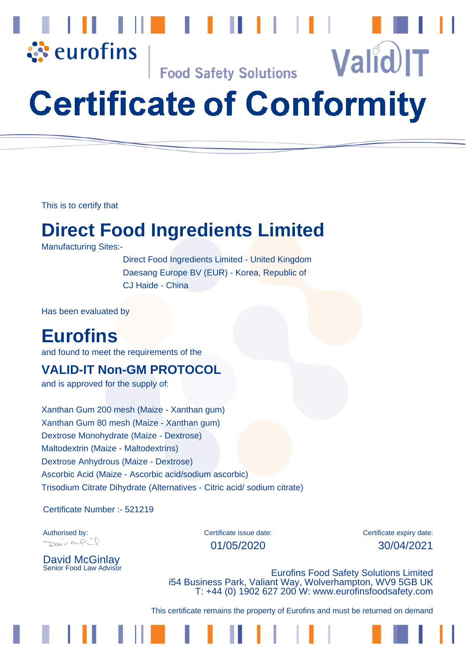

**Food Safety Solutions** 

# **Certificate of Conformity**

This is to certify that

### **Direct Food Ingredients Limited**

Manufacturing Sites:-

 Direct Food Ingredients Limited - United Kingdom Daesang Europe BV (EUR) - Korea, Republic of CJ Haide - China

Has been evaluated by

### **Eurofins**

and found to meet the requirements of the

#### **VALID-IT Non-GM PROTOCOL**

and is approved for the supply of:

Xanthan Gum 200 mesh (Maize - Xanthan gum) Xanthan Gum 80 mesh (Maize - Xanthan gum) Dextrose Monohydrate (Maize - Dextrose) Maltodextrin (Maize - Maltodextrins) Dextrose Anhydrous (Maize - Dextrose) Ascorbic Acid (Maize - Ascorbic acid/sodium ascorbic) Trisodium Citrate Dihydrate (Alternatives - Citric acid/ sodium citrate)

Certificate Number :- 521219

Davis MP.

David McGinlay<br>Senior Food Law Advisor

Authorised by: Certificate issue date: Certificate expiry date: Certificate expiry date: 01/05/2020 30/04/2021

**Valid IT** 

**Eurofins Food Safety Solutions Limited** i54 Business Park, Valiant Way, Wolverhampton, WV9 5GB UK T: +44 (0) 1902 627 200 W: www.eurofinsfoodsafety.com

This certificate remains the property of Eurofins and must be returned on demand